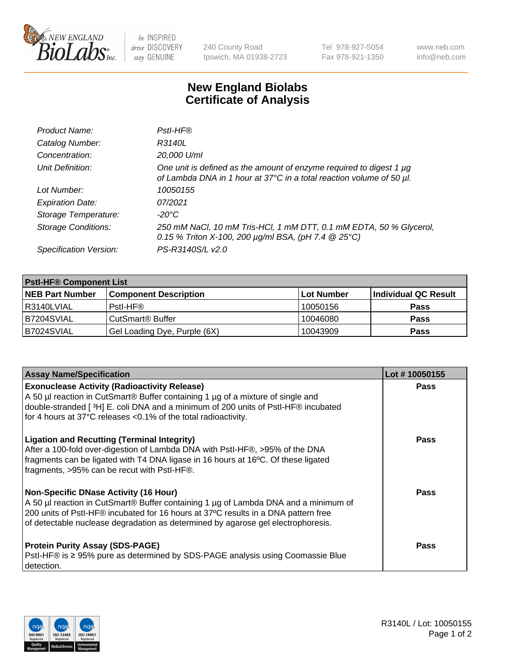

 $be$  INSPIRED drive DISCOVERY stay GENUINE

240 County Road Ipswich, MA 01938-2723 Tel 978-927-5054 Fax 978-921-1350 www.neb.com info@neb.com

## **New England Biolabs Certificate of Analysis**

| Product Name:              | Pstl-HF®                                                                                                                                             |
|----------------------------|------------------------------------------------------------------------------------------------------------------------------------------------------|
| Catalog Number:            | R3140L                                                                                                                                               |
| Concentration:             | 20,000 U/ml                                                                                                                                          |
| Unit Definition:           | One unit is defined as the amount of enzyme required to digest 1 µg<br>of Lambda DNA in 1 hour at 37°C in a total reaction volume of 50 µl.          |
| Lot Number:                | 10050155                                                                                                                                             |
| <b>Expiration Date:</b>    | 07/2021                                                                                                                                              |
| Storage Temperature:       | -20°C                                                                                                                                                |
| <b>Storage Conditions:</b> | 250 mM NaCl, 10 mM Tris-HCl, 1 mM DTT, 0.1 mM EDTA, 50 % Glycerol,<br>0.15 % Triton X-100, 200 $\mu$ g/ml BSA, (pH 7.4 $\textcircled{25}^{\circ}$ C) |
| Specification Version:     | PS-R3140S/L v2.0                                                                                                                                     |

| <b>PstI-HF® Component List</b> |                              |            |                      |  |
|--------------------------------|------------------------------|------------|----------------------|--|
| <b>NEB Part Number</b>         | <b>Component Description</b> | Lot Number | Individual QC Result |  |
| R3140LVIAL                     | Pstl-HF®                     | 10050156   | <b>Pass</b>          |  |
| <b>B7204SVIAL</b>              | CutSmart® Buffer             | 10046080   | <b>Pass</b>          |  |
| B7024SVIAL                     | Gel Loading Dye, Purple (6X) | 10043909   | <b>Pass</b>          |  |

| <b>Assay Name/Specification</b>                                                                                                                                                                                                                                                                                                          | Lot #10050155 |
|------------------------------------------------------------------------------------------------------------------------------------------------------------------------------------------------------------------------------------------------------------------------------------------------------------------------------------------|---------------|
| <b>Exonuclease Activity (Radioactivity Release)</b><br>A 50 µl reaction in CutSmart® Buffer containing 1 µg of a mixture of single and<br>double-stranded [3H] E. coli DNA and a minimum of 200 units of PstI-HF® incubated                                                                                                              | <b>Pass</b>   |
| for 4 hours at 37°C releases <0.1% of the total radioactivity.<br><b>Ligation and Recutting (Terminal Integrity)</b><br>After a 100-fold over-digestion of Lambda DNA with PstI-HF®, >95% of the DNA<br>fragments can be ligated with T4 DNA ligase in 16 hours at 16°C. Of these ligated<br>fragments, >95% can be recut with PstI-HF®. | Pass          |
| <b>Non-Specific DNase Activity (16 Hour)</b><br>A 50 µl reaction in CutSmart® Buffer containing 1 µg of Lambda DNA and a minimum of<br>200 units of PstI-HF® incubated for 16 hours at 37°C results in a DNA pattern free<br>of detectable nuclease degradation as determined by agarose gel electrophoresis.                            | Pass          |
| <b>Protein Purity Assay (SDS-PAGE)</b><br>PstI-HF® is ≥ 95% pure as determined by SDS-PAGE analysis using Coomassie Blue<br>I detection.                                                                                                                                                                                                 | Pass          |